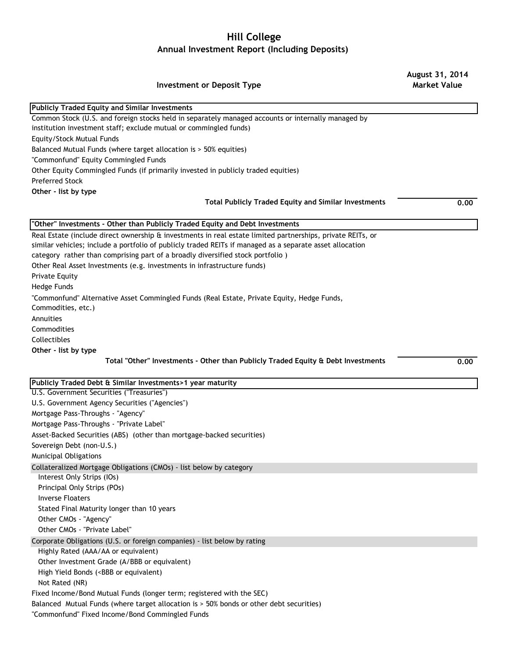## **Hill College Annual Investment Report (Including Deposits)**

**August 31, 2014** 

| <b>Investment or Deposit Type</b>                                                                                                          | <b>Market Value</b> |
|--------------------------------------------------------------------------------------------------------------------------------------------|---------------------|
| <b>Publicly Traded Equity and Similar Investments</b>                                                                                      |                     |
| Common Stock (U.S. and foreign stocks held in separately managed accounts or internally managed by                                         |                     |
| institution investment staff; exclude mutual or commingled funds)                                                                          |                     |
| Equity/Stock Mutual Funds                                                                                                                  |                     |
| Balanced Mutual Funds (where target allocation is > 50% equities)                                                                          |                     |
| "Commonfund" Equity Commingled Funds                                                                                                       |                     |
| Other Equity Commingled Funds (if primarily invested in publicly traded equities)                                                          |                     |
| <b>Preferred Stock</b>                                                                                                                     |                     |
| Other - list by type                                                                                                                       |                     |
| <b>Total Publicly Traded Equity and Similar Investments</b>                                                                                | 0.00                |
| "Other" Investments - Other than Publicly Traded Equity and Debt Investments                                                               |                     |
| Real Estate (include direct ownership & investments in real estate limited partnerships, private REITs, or                                 |                     |
| similar vehicles; include a portfolio of publicly traded REITs if managed as a separate asset allocation                                   |                     |
| category rather than comprising part of a broadly diversified stock portfolio)                                                             |                     |
| Other Real Asset Investments (e.g. investments in infrastructure funds)                                                                    |                     |
| <b>Private Equity</b>                                                                                                                      |                     |
| Hedge Funds                                                                                                                                |                     |
| "Commonfund" Alternative Asset Commingled Funds (Real Estate, Private Equity, Hedge Funds,<br>Commodities, etc.)                           |                     |
| Annuities                                                                                                                                  |                     |
| Commodities                                                                                                                                |                     |
| Collectibles                                                                                                                               |                     |
| Other - list by type                                                                                                                       |                     |
| Total "Other" Investments - Other than Publicly Traded Equity & Debt Investments                                                           | 0.00                |
| Publicly Traded Debt & Similar Investments>1 year maturity                                                                                 |                     |
| U.S. Government Securities ("Treasuries")                                                                                                  |                     |
| U.S. Government Agency Securities ("Agencies")                                                                                             |                     |
| Mortgage Pass-Throughs - "Agency"                                                                                                          |                     |
| Mortgage Pass-Throughs - "Private Label"                                                                                                   |                     |
| Asset-Backed Securities (ABS) (other than mortgage-backed securities)                                                                      |                     |
| Sovereign Debt (non-U.S.)                                                                                                                  |                     |
| <b>Municipal Obligations</b>                                                                                                               |                     |
| Collateralized Mortgage Obligations (CMOs) - list below by category                                                                        |                     |
| Interest Only Strips (IOs)                                                                                                                 |                     |
| Principal Only Strips (POs)                                                                                                                |                     |
| <b>Inverse Floaters</b>                                                                                                                    |                     |
| Stated Final Maturity longer than 10 years                                                                                                 |                     |
| Other CMOs - "Agency"                                                                                                                      |                     |
| Other CMOs - "Private Label"                                                                                                               |                     |
| Corporate Obligations (U.S. or foreign companies) - list below by rating                                                                   |                     |
| Highly Rated (AAA/AA or equivalent)                                                                                                        |                     |
| Other Investment Grade (A/BBB or equivalent)                                                                                               |                     |
| High Yield Bonds ( <bbb equivalent)<="" or="" td=""><td></td></bbb>                                                                        |                     |
| Not Rated (NR)                                                                                                                             |                     |
| Fixed Income/Bond Mutual Funds (longer term; registered with the SEC)                                                                      |                     |
| Balanced Mutual Funds (where target allocation is > 50% bonds or other debt securities)<br>"Commonfund" Fixed Income/Bond Commingled Funds |                     |